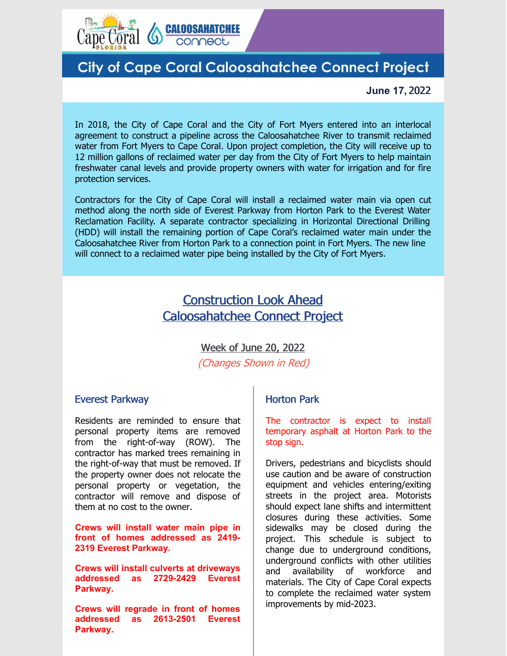

# **City of Cape Coral Caloosahatchee Connect Project**

#### **June 17,** 2022

In 2018, the City of Cape Coral and the City of Fort Myers entered into an interlocal agreement to construct a pipeline across the Caloosahatchee River to transmit reclaimed water from Fort Myers to Cape Coral. Upon project completion, the City will receive up to 12 million gallons of reclaimed water per day from the City of Fort Myers to help maintain freshwater canal levels and provide property owners with water for irrigation and for fire protection services.

Contractors for the City of Cape Coral will install a reclaimed water main via open cut method along the north side of Everest Parkway from Horton Park to the Everest Water Reclamation Facility. A separate contractor specializing in Horizontal Directional Drilling (HDD) will install the remaining portion of Cape Coral's reclaimed water main under the Caloosahatchee River from Horton Park to a connection point in Fort Myers. The new line will connect to a reclaimed water pipe being installed by the City of Fort Myers.

## Construction Look Ahead Caloosahatchee Connect Project

#### Week of June 20, 2022

(Changes Shown in Red)

#### Everest Parkway

Residents are reminded to ensure that personal property items are removed from the right-of-way (ROW). The contractor has marked trees remaining in the right-of-way that must be removed. If the property owner does not relocate the personal property or vegetation, the contractor will remove and dispose of them at no cost to the owner.

**Crews will install water main pipe in front of homes addressed as 2419- 2319 Everest Parkway.**

**Crews will install culverts at driveways addressed as 2729-2429 Everest Parkway.**

**Crews will regrade in front of homes addressed as 2613-2501 Everest Parkway.**

### Horton Park

The contractor is expect to install temporary asphalt at Horton Park to the stop sign.

Drivers, pedestrians and bicyclists should use caution and be aware of construction equipment and vehicles entering/exiting streets in the project area. Motorists should expect lane shifts and intermittent closures during these activities. Some sidewalks may be closed during the project. This schedule is subject to change due to underground conditions, underground conflicts with other utilities and availability of workforce and materials. The City of Cape Coral expects to complete the reclaimed water system improvements by mid-2023.